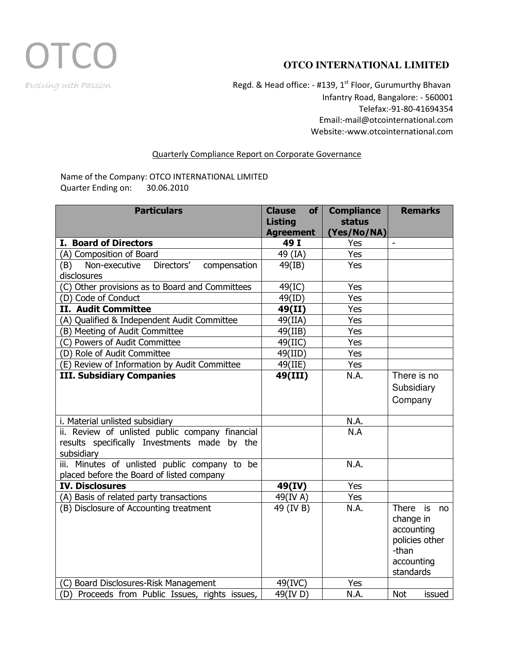

Evolving with Passion **Regd. & Head office: - #139, 1<sup>st</sup> Floor, Gurumurthy Bhavan** Infantry Road, Bangalore: - 560001 Telefax:-91-80-41694354 Email:-mail@otcointernational.com Website:-www.otcointernational.com

## Quarterly Compliance Report on Corporate Governance

Name of the Company: OTCO INTERNATIONAL LIMITED Quarter Ending on: 30.06.2010

| <b>Particulars</b>                                 | <b>Clause</b><br>of<br><b>Listing</b><br><b>Agreement</b> | <b>Compliance</b><br><b>status</b><br>(Yes/No/NA) | <b>Remarks</b>       |
|----------------------------------------------------|-----------------------------------------------------------|---------------------------------------------------|----------------------|
| I. Board of Directors                              | 49 I                                                      | Yes                                               |                      |
| (A) Composition of Board                           | 49 (IA)                                                   | Yes                                               |                      |
| Directors'<br>Non-executive<br>compensation<br>(B) | 49(IB)                                                    | Yes                                               |                      |
| disclosures                                        |                                                           |                                                   |                      |
| (C) Other provisions as to Board and Committees    | 49(IC)                                                    | Yes                                               |                      |
| (D) Code of Conduct                                | 49(ID)                                                    | Yes                                               |                      |
| <b>II. Audit Committee</b>                         | 49(II)                                                    | Yes                                               |                      |
| (A) Qualified & Independent Audit Committee        | 49(IIA)                                                   | Yes                                               |                      |
| (B) Meeting of Audit Committee                     | 49(IIB)                                                   | Yes                                               |                      |
| (C) Powers of Audit Committee                      | $49($ IIC)                                                | Yes                                               |                      |
| (D) Role of Audit Committee                        | 49(III)                                                   | Yes                                               |                      |
| (E) Review of Information by Audit Committee       | 49(IIE)                                                   | Yes                                               |                      |
| <b>III. Subsidiary Companies</b>                   | 49(III)                                                   | N.A.                                              | There is no          |
|                                                    |                                                           |                                                   | Subsidiary           |
|                                                    |                                                           |                                                   | Company              |
| i. Material unlisted subsidiary                    |                                                           | N.A.                                              |                      |
| ii. Review of unlisted public company financial    |                                                           | N.A                                               |                      |
| results specifically Investments made by the       |                                                           |                                                   |                      |
| subsidiary                                         |                                                           |                                                   |                      |
| iii. Minutes of unlisted public company to be      |                                                           | N.A.                                              |                      |
| placed before the Board of listed company          |                                                           |                                                   |                      |
| <b>IV. Disclosures</b>                             | 49(IV)                                                    | Yes                                               |                      |
| (A) Basis of related party transactions            | 49(IV A)                                                  | Yes                                               |                      |
| (B) Disclosure of Accounting treatment             | $\overline{49}$ (IV B)                                    | N.A.                                              | There<br>is<br>no    |
|                                                    |                                                           |                                                   | change in            |
|                                                    |                                                           |                                                   | accounting           |
|                                                    |                                                           |                                                   | policies other       |
|                                                    |                                                           |                                                   | -than                |
|                                                    |                                                           |                                                   | accounting           |
|                                                    |                                                           |                                                   | standards            |
| (C) Board Disclosures-Risk Management              | 49(IVC)                                                   | Yes                                               |                      |
| (D) Proceeds from Public Issues, rights issues,    | 49(IV D)                                                  | N.A.                                              | <b>Not</b><br>issued |